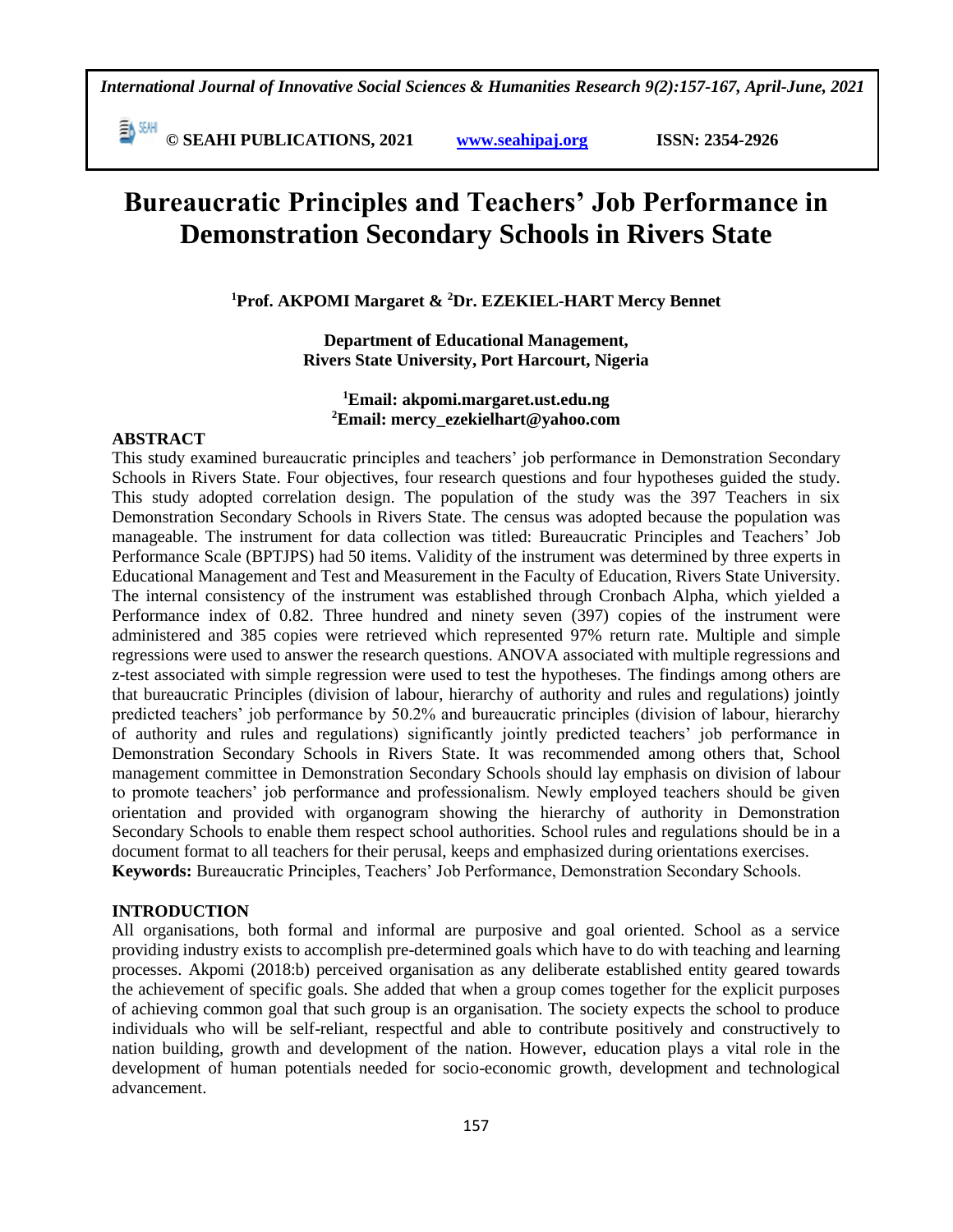**© SEAHI PUBLICATIONS, 2021 [www.seahipaj.org](http://www.seahipaj.org/) ISSN: 2354-2926** 

# **Bureaucratic Principles and Teachers' Job Performance in Demonstration Secondary Schools in Rivers State**

#### **<sup>1</sup>Prof. AKPOMI Margaret & <sup>2</sup>Dr. EZEKIEL-HART Mercy Bennet**

**Department of Educational Management, Rivers State University, Port Harcourt, Nigeria**

## **<sup>1</sup>Email: akpomi.margaret.ust.edu.ng <sup>2</sup>Email: mercy\_ezekielhart@yahoo.com**

#### **ABSTRACT**

This study examined bureaucratic principles and teachers' job performance in Demonstration Secondary Schools in Rivers State. Four objectives, four research questions and four hypotheses guided the study. This study adopted correlation design. The population of the study was the 397 Teachers in six Demonstration Secondary Schools in Rivers State. The census was adopted because the population was manageable. The instrument for data collection was titled: Bureaucratic Principles and Teachers' Job Performance Scale (BPTJPS) had 50 items. Validity of the instrument was determined by three experts in Educational Management and Test and Measurement in the Faculty of Education, Rivers State University. The internal consistency of the instrument was established through Cronbach Alpha, which yielded a Performance index of 0.82. Three hundred and ninety seven (397) copies of the instrument were administered and 385 copies were retrieved which represented 97% return rate. Multiple and simple regressions were used to answer the research questions. ANOVA associated with multiple regressions and z-test associated with simple regression were used to test the hypotheses. The findings among others are that bureaucratic Principles (division of labour, hierarchy of authority and rules and regulations) jointly predicted teachers' job performance by 50.2% and bureaucratic principles (division of labour, hierarchy of authority and rules and regulations) significantly jointly predicted teachers' job performance in Demonstration Secondary Schools in Rivers State. It was recommended among others that, School management committee in Demonstration Secondary Schools should lay emphasis on division of labour to promote teachers' job performance and professionalism. Newly employed teachers should be given orientation and provided with organogram showing the hierarchy of authority in Demonstration Secondary Schools to enable them respect school authorities. School rules and regulations should be in a document format to all teachers for their perusal, keeps and emphasized during orientations exercises. **Keywords:** Bureaucratic Principles, Teachers' Job Performance, Demonstration Secondary Schools.

#### **INTRODUCTION**

All organisations, both formal and informal are purposive and goal oriented. School as a service providing industry exists to accomplish pre-determined goals which have to do with teaching and learning processes. Akpomi (2018:b) perceived organisation as any deliberate established entity geared towards the achievement of specific goals. She added that when a group comes together for the explicit purposes of achieving common goal that such group is an organisation. The society expects the school to produce individuals who will be self-reliant, respectful and able to contribute positively and constructively to nation building, growth and development of the nation. However, education plays a vital role in the development of human potentials needed for socio-economic growth, development and technological advancement.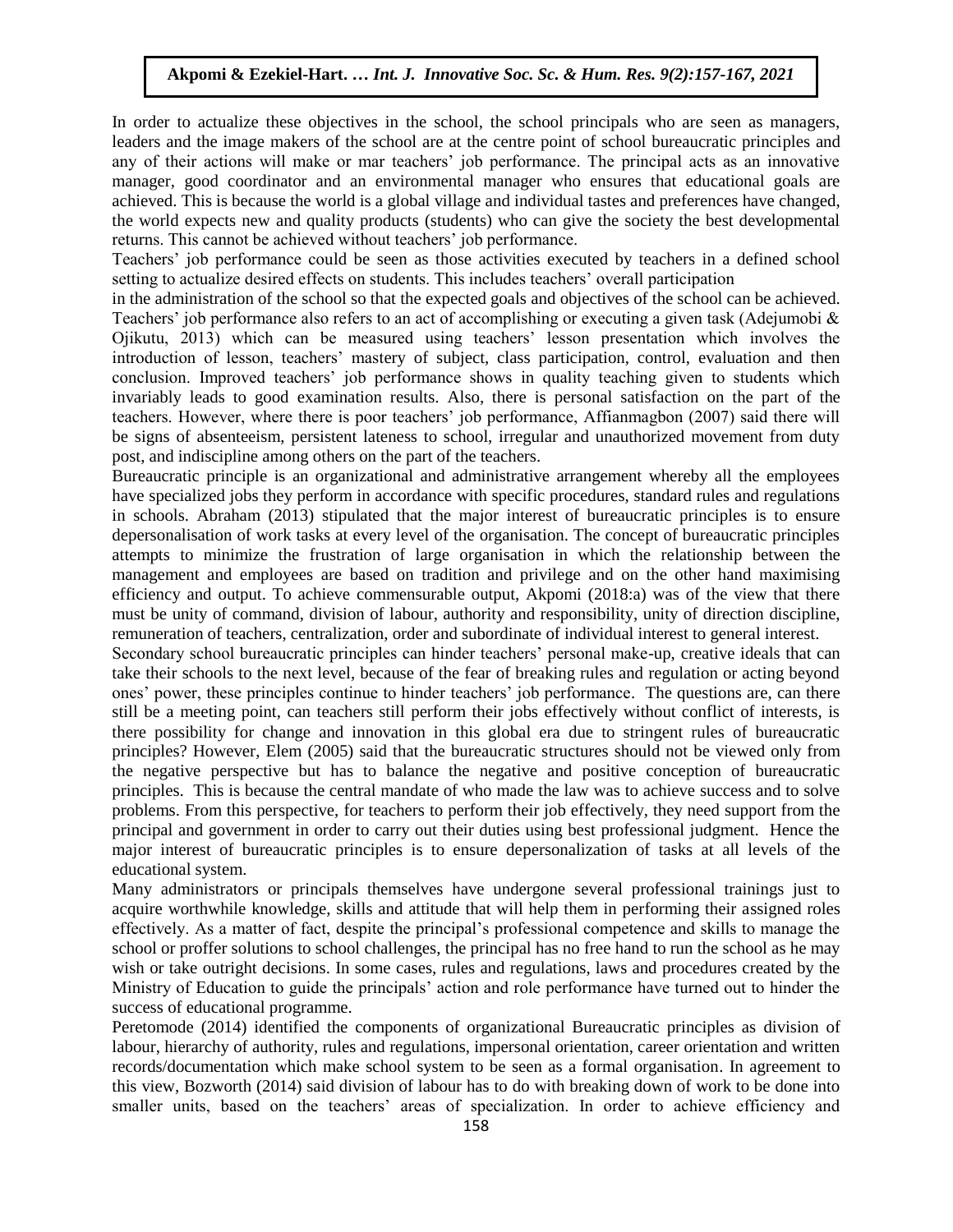In order to actualize these objectives in the school, the school principals who are seen as managers, leaders and the image makers of the school are at the centre point of school bureaucratic principles and leaders and the image makers of the school are at the centre point of school bureaucratic principles and any of their actions will make or mar teachers' job performance. The principal acts as an innovative manager, good coordinator and an environmental manager who ensures that educational goals are achieved. This is because the world is a global village and individual tastes and preferences have changed, the world expects new and quality products (students) who can give the society the best developmental the world returns. This cannot be achieved without teachers' job performance.

Teachers' job performance could be seen as those activities executed by teachers in a defined school setting to actualize desired effects on students. This includes teachers' overall participation

in the administration of the school so that the expected goals and objectives of the school can be achieved. Teachers' job performance also refers to an act of accomplishing or executing a given task (Adejumobi & Ojikutu, 2013) which can be measured using teachers' lesson presentation which involves the introduction of lesson, teachers' mastery of subject, class participation, control, evaluation and then conclusion. Improved teachers' job performance shows in quality teaching given to students which invariably leads to good examination results. Also, there is personal satisfaction on the part of the teachers. However, where there is poor teachers' job performance, Affianmagbon (2007) said there will be signs of absenteeism, persistent lateness to school, irregular and unauthorized movement from duty post, and indiscipline among others on the part of the teachers.

Bureaucratic principle is an organizational and administrative arrangement whereby all the employees have specialized jobs they perform in accordance with specific procedures, standard rules and regulations in schools. Abraham (2013) stipulated that the major interest of bureaucratic principles is to ensure depersonalisation of work tasks at every level of the organisation. The concept of bureaucratic principles attempts to minimize the frustration of large organisation in which the relationship between the management and employees are based on tradition and privilege and on the other hand maximising efficiency and output. To achieve commensurable output, Akpomi (2018:a) was of the view that there must be unity of command, division of labour, authority and responsibility, unity of direction discipline, remuneration of teachers, centralization, order and subordinate of individual interest to general interest.

Secondary school bureaucratic principles can hinder teachers' personal make-up, creative ideals that can take their schools to the next level, because of the fear of breaking rules and regulation or acting beyond ones' power, these principles continue to hinder teachers' job performance. The questions are, can there still be a meeting point, can teachers still perform their jobs effectively without conflict of interests, is there possibility for change and innovation in this global era due to stringent rules of bureaucratic principles? However, Elem (2005) said that the bureaucratic structures should not be viewed only from the negative perspective but has to balance the negative and positive conception of bureaucratic principles. This is because the central mandate of who made the law was to achieve success and to solve problems. From this perspective, for teachers to perform their job effectively, they need support from the principal and government in order to carry out their duties using best professional judgment. Hence the major interest of bureaucratic principles is to ensure depersonalization of tasks at all levels of the educational system.

Many administrators or principals themselves have undergone several professional trainings just to acquire worthwhile knowledge, skills and attitude that will help them in performing their assigned roles effectively. As a matter of fact, despite the principal's professional competence and skills to manage the school or proffer solutions to school challenges, the principal has no free hand to run the school as he may wish or take outright decisions. In some cases, rules and regulations, laws and procedures created by the Ministry of Education to guide the principals' action and role performance have turned out to hinder the success of educational programme.

Peretomode (2014) identified the components of organizational Bureaucratic principles as division of labour, hierarchy of authority, rules and regulations, impersonal orientation, career orientation and written records/documentation which make school system to be seen as a formal organisation. In agreement to this view, Bozworth (2014) said division of labour has to do with breaking down of work to be done into smaller units, based on the teachers' areas of specialization. In order to achieve efficiency and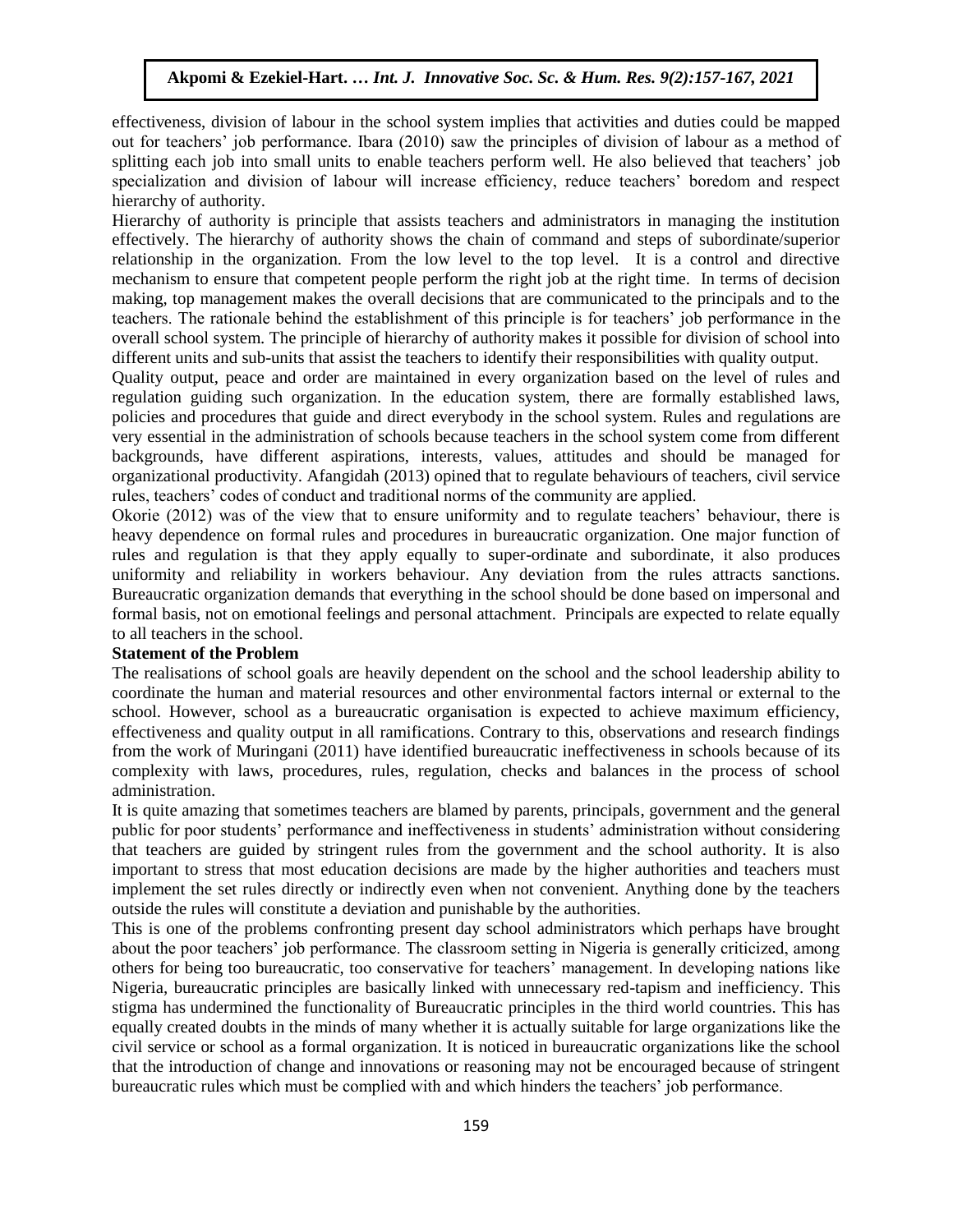effectiveness, division of labour in the school system implies that activities and duties could be mapped out for teachers' job performance. Ibara (2010) saw the principles of division of labour as a method of splitting each job into small units to enable teachers perform well. He also believed that teachers' job specialization and division of labour will increase efficiency, reduce teachers' boredom and respect hierarchy of authority.

Hierarchy of authority is principle that assists teachers and administrators in managing the institution effectively. The hierarchy of authority shows the chain of command and steps of subordinate/superior relationship in the organization. From the low level to the top level. It is a control and directive mechanism to ensure that competent people perform the right job at the right time. In terms of decision making, top management makes the overall decisions that are communicated to the principals and to the teachers. The rationale behind the establishment of this principle is for teachers' job performance in the overall school system. The principle of hierarchy of authority makes it possible for division of school into different units and sub-units that assist the teachers to identify their responsibilities with quality output.

Quality output, peace and order are maintained in every organization based on the level of rules and regulation guiding such organization. In the education system, there are formally established laws, policies and procedures that guide and direct everybody in the school system. Rules and regulations are very essential in the administration of schools because teachers in the school system come from different backgrounds, have different aspirations, interests, values, attitudes and should be managed for organizational productivity. Afangidah (2013) opined that to regulate behaviours of teachers, civil service rules, teachers' codes of conduct and traditional norms of the community are applied.

Okorie (2012) was of the view that to ensure uniformity and to regulate teachers' behaviour, there is heavy dependence on formal rules and procedures in bureaucratic organization. One major function of rules and regulation is that they apply equally to super-ordinate and subordinate, it also produces uniformity and reliability in workers behaviour. Any deviation from the rules attracts sanctions. Bureaucratic organization demands that everything in the school should be done based on impersonal and formal basis, not on emotional feelings and personal attachment. Principals are expected to relate equally to all teachers in the school.

#### **Statement of the Problem**

The realisations of school goals are heavily dependent on the school and the school leadership ability to coordinate the human and material resources and other environmental factors internal or external to the school. However, school as a bureaucratic organisation is expected to achieve maximum efficiency, effectiveness and quality output in all ramifications. Contrary to this, observations and research findings from the work of Muringani (2011) have identified bureaucratic ineffectiveness in schools because of its complexity with laws, procedures, rules, regulation, checks and balances in the process of school administration.

It is quite amazing that sometimes teachers are blamed by parents, principals, government and the general public for poor students' performance and ineffectiveness in students' administration without considering that teachers are guided by stringent rules from the government and the school authority. It is also important to stress that most education decisions are made by the higher authorities and teachers must implement the set rules directly or indirectly even when not convenient. Anything done by the teachers outside the rules will constitute a deviation and punishable by the authorities.

This is one of the problems confronting present day school administrators which perhaps have brought about the poor teachers' job performance. The classroom setting in Nigeria is generally criticized, among others for being too bureaucratic, too conservative for teachers' management. In developing nations like Nigeria, bureaucratic principles are basically linked with unnecessary red-tapism and inefficiency. This stigma has [undermined the functionality](https://www.projectwriters.ng/project-topic-critical-appraisal-legal-regime-copyirght-protection-nigeria-efficiency-enforcement/) of Bureaucratic principles in the third world countries. This has equally created doubts in the minds of many whether it is actually suitable for large organizations like the civil service or school as a formal organization. It is noticed in bureaucratic organizations like the school that the introduction of change and innovations or reasoning may not be encouraged because of stringent bureaucratic rules which must be complied with and which hinders the teachers' job performance.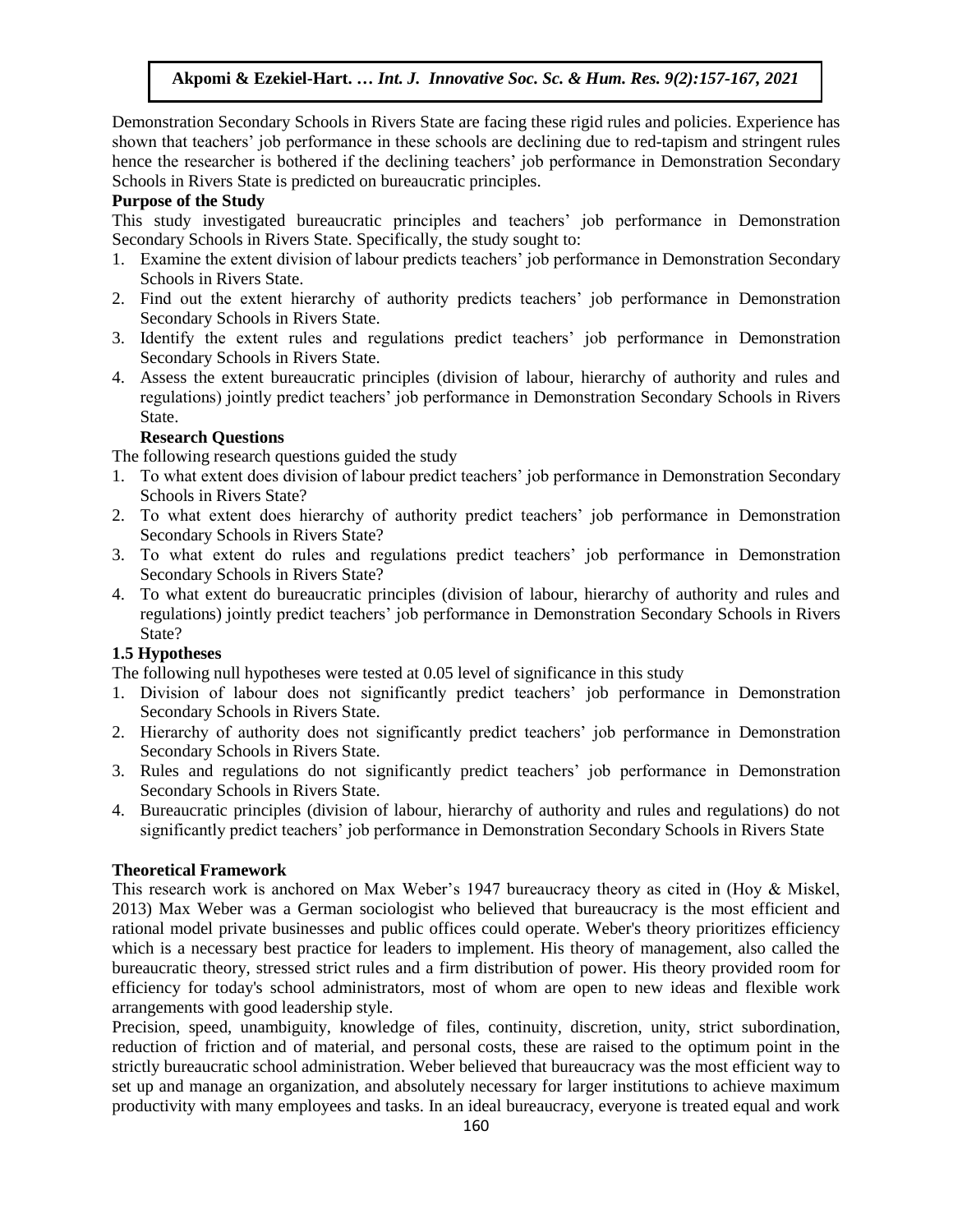Demonstration Secondary Schools in Rivers State are facing these rigid rules and policies. Experience has shown that teachers' job performance in these schools are declining due to red-tapism and stringent rules hence the researcher is bothered if the declining teachers' job performance in Demonstration Secondary Schools in Rivers State is predicted on bureaucratic principles.

#### **Purpose of the Study**

This study investigated bureaucratic principles and teachers' job performance in Demonstration Secondary Schools in Rivers State. Specifically, the study sought to:

- 1. Examine the extent division of labour predicts teachers' job performance in Demonstration Secondary Schools in Rivers State.
- 2. Find out the extent hierarchy of authority predicts teachers' job performance in Demonstration Secondary Schools in Rivers State.
- 3. Identify the extent rules and regulations predict teachers' job performance in Demonstration Secondary Schools in Rivers State.
- 4. Assess the extent bureaucratic principles (division of labour, hierarchy of authority and rules and regulations) jointly predict teachers' job performance in Demonstration Secondary Schools in Rivers State.

## **Research Questions**

The following research questions guided the study

- 1. To what extent does division of labour predict teachers' job performance in Demonstration Secondary Schools in Rivers State?
- 2. To what extent does hierarchy of authority predict teachers' job performance in Demonstration Secondary Schools in Rivers State?
- 3. To what extent do rules and regulations predict teachers' job performance in Demonstration Secondary Schools in Rivers State?
- 4. To what extent do bureaucratic principles (division of labour, hierarchy of authority and rules and regulations) jointly predict teachers' job performance in Demonstration Secondary Schools in Rivers State?

## **1.5 Hypotheses**

The following null hypotheses were tested at 0.05 level of significance in this study

- 1. Division of labour does not significantly predict teachers' job performance in Demonstration Secondary Schools in Rivers State.
- 2. Hierarchy of authority does not significantly predict teachers' job performance in Demonstration Secondary Schools in Rivers State.
- 3. Rules and regulations do not significantly predict teachers' job performance in Demonstration Secondary Schools in Rivers State.
- 4. Bureaucratic principles (division of labour, hierarchy of authority and rules and regulations) do not significantly predict teachers' job performance in Demonstration Secondary Schools in Rivers State

#### **Theoretical Framework**

This research work is anchored on Max Weber's 1947 bureaucracy theory as cited in (Hoy & Miskel, 2013) Max Weber was a German sociologist who believed that bureaucracy is the most efficient and rational model private businesses and public offices could operate. Weber's theory prioritizes efficiency which is a necessary best practice for leaders to implement. His theory of management, also called the bureaucratic theory, stressed strict rules and a firm distribution of power. His theory provided room for efficiency for today's school administrators, most of whom are open to new ideas and flexible work arrangements with good leadership style.

Precision, speed, unambiguity, knowledge of files, continuity, discretion, unity, strict subordination, reduction of friction and of material, and personal costs, these are raised to the optimum point in the strictly bureaucratic school administration. Weber believed that bureaucracy was the most efficient way to set up and manage an organization, and absolutely necessary for larger institutions to achieve maximum productivity with many employees and tasks. In an ideal bureaucracy, everyone is treated equal and work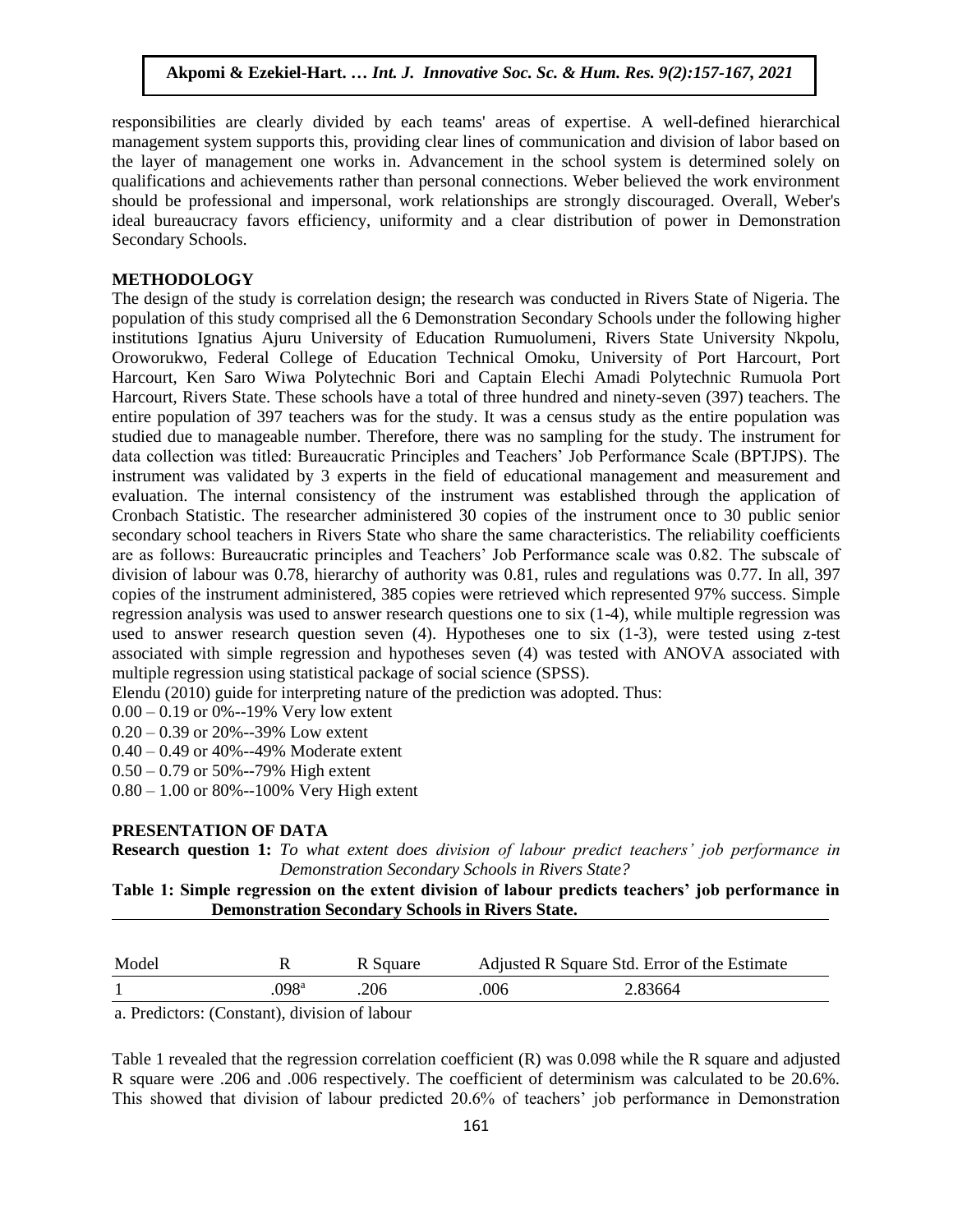responsibilities are clearly divided by each teams' areas of expertise. A well-defined hierarchical responsionities are clearly divided by each teams areas of experience. It went defined included in management system supports this, providing clear lines of communication and division of labor based on the layer of management one works in. Advancement in the school system is determined solely on qualifications and achievements rather than personal connections. Weber believed the work environment should be professional and impersonal, work relationships are strongly discouraged. Overall, Weber's ideal bureaucracy favors efficiency, uniformity and a clear distribution of power in Demonstration ideal Secondary Schools.

#### **METHODOLOGY**

The design of the study is correlation design; the research was conducted in Rivers State of Nigeria. The population of this study comprised all the 6 Demonstration Secondary Schools under the following higher institutions Ignatius Ajuru University of Education Rumuolumeni, Rivers State University Nkpolu, Oroworukwo, Federal College of Education Technical Omoku, University of Port Harcourt, Port Harcourt, Ken Saro Wiwa Polytechnic Bori and Captain Elechi Amadi Polytechnic Rumuola Port Harcourt, Rivers State. These schools have a total of three hundred and ninety-seven (397) teachers. The entire population of 397 teachers was for the study. It was a census study as the entire population was studied due to manageable number. Therefore, there was no sampling for the study. The instrument for data collection was titled: Bureaucratic Principles and Teachers' Job Performance Scale (BPTJPS). The instrument was validated by 3 experts in the field of educational management and measurement and evaluation. The internal consistency of the instrument was established through the application of Cronbach Statistic. The researcher administered 30 copies of the instrument once to 30 public senior secondary school teachers in Rivers State who share the same characteristics. The reliability coefficients are as follows: Bureaucratic principles and Teachers' Job Performance scale was 0.82. The subscale of division of labour was 0.78, hierarchy of authority was 0.81, rules and regulations was 0.77. In all, 397 copies of the instrument administered, 385 copies were retrieved which represented 97% success. Simple regression analysis was used to answer research questions one to six  $(1-4)$ , while multiple regression was used to answer research question seven (4). Hypotheses one to six (1-3), were tested using z-test associated with simple regression and hypotheses seven (4) was tested with ANOVA associated with multiple regression using statistical package of social science (SPSS).

Elendu (2010) guide for interpreting nature of the prediction was adopted. Thus:

- 0.00 0.19 or 0%--19% Very low extent
- 0.20 0.39 or 20%--39% Low extent
- 0.40 0.49 or 40%--49% Moderate extent
- 0.50 0.79 or 50%--79% High extent
- 0.80 1.00 or 80%--100% Very High extent

#### **PRESENTATION OF DATA**

**Research question 1:** *To what extent does division of labour predict teachers' job performance in Demonstration Secondary Schools in Rivers State?*

# **Table 1: Simple regression on the extent division of labour predicts teachers' job performance in Demonstration Secondary Schools in Rivers State.**

| Model |      | R Square |     | Adjusted R Square Std. Error of the Estimate |
|-------|------|----------|-----|----------------------------------------------|
|       | )98ª | 206      | 006 | 2.83664                                      |

a. Predictors: (Constant), division of labour

Table 1 revealed that the regression correlation coefficient (R) was 0.098 while the R square and adjusted R square were .206 and .006 respectively. The coefficient of determinism was calculated to be 20.6%. This showed that division of labour predicted 20.6% of teachers' job performance in Demonstration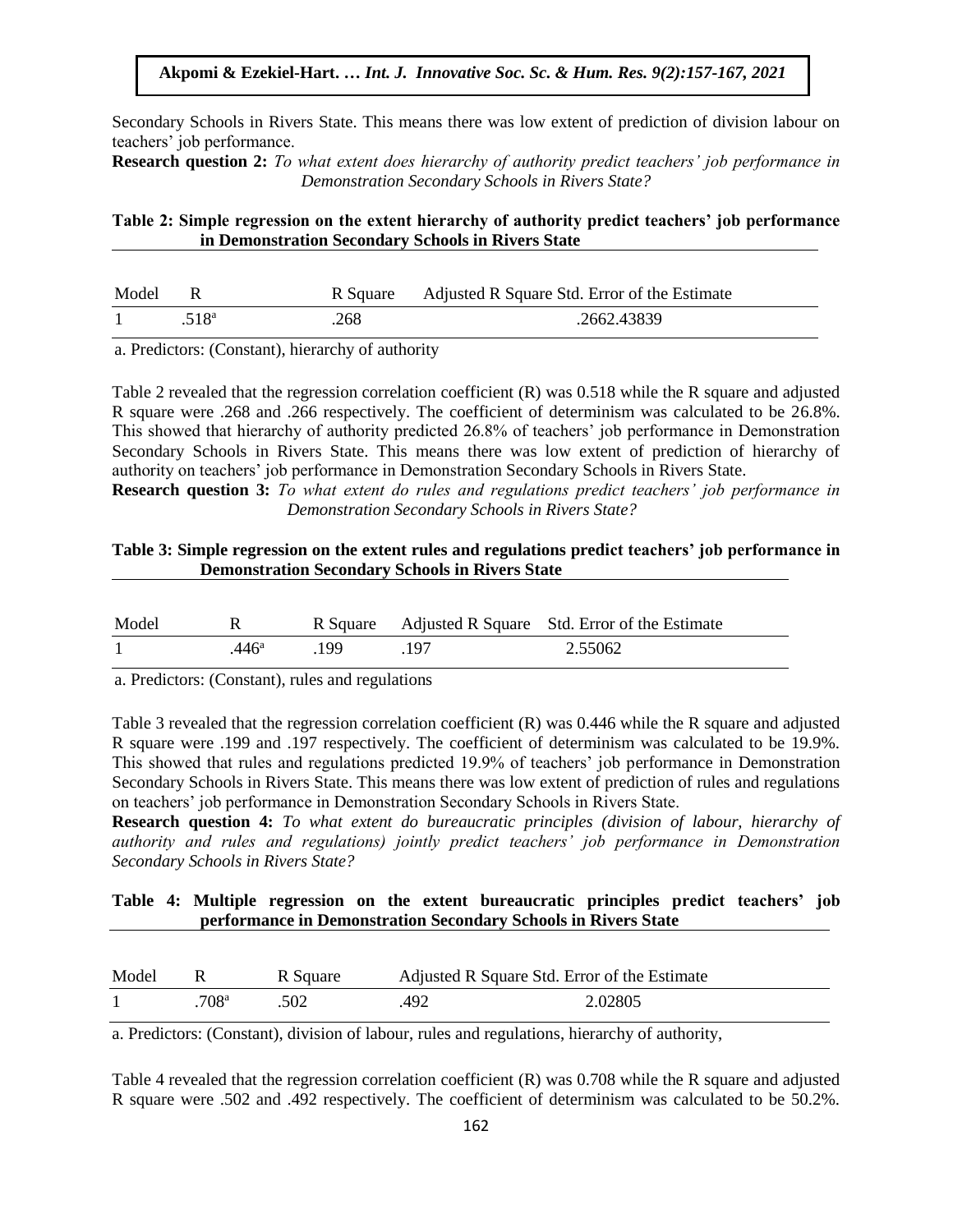Secondary Schools in Rivers State. This means there was low extent of prediction of division labour on teachers' ich performance teachers' job performance.

**Research question 2:** *To what extent does hierarchy of authority predict teachers' job performance in Demonstration Secondary Schools in Rivers State?*

# Table 2: Simple regression on the extent hierarchy of authority predict teachers' job performance **in Demonstration Secondary Schools in Rivers State**

| Model |                | R Square | Adjusted R Square Std. Error of the Estimate |  |
|-------|----------------|----------|----------------------------------------------|--|
|       | $.518^{\circ}$ | .268     | .2662.43839                                  |  |

a. Predictors: (Constant), hierarchy of authority

Table 2 revealed that the regression correlation coefficient (R) was 0.518 while the R square and adjusted R square were .268 and .266 respectively. The coefficient of determinism was calculated to be 26.8%. This showed that hierarchy of authority predicted 26.8% of teachers' job performance in Demonstration Secondary Schools in Rivers State. This means there was low extent of prediction of hierarchy of authority on teachers' job performance in Demonstration Secondary Schools in Rivers State.

**Research question 3:** *To what extent do rules and regulations predict teachers' job performance in Demonstration Secondary Schools in Rivers State?*

## **Table 3: Simple regression on the extent rules and regulations predict teachers' job performance in Demonstration Secondary Schools in Rivers State**

| Model |               |       |       | R Square Adjusted R Square Std. Error of the Estimate |
|-------|---------------|-------|-------|-------------------------------------------------------|
|       | $446^{\circ}$ | - 199 | - 197 | 2.55062                                               |

a. Predictors: (Constant), rules and regulations

Table 3 revealed that the regression correlation coefficient (R) was 0.446 while the R square and adjusted R square were .199 and .197 respectively. The coefficient of determinism was calculated to be 19.9%. This showed that rules and regulations predicted 19.9% of teachers' job performance in Demonstration Secondary Schools in Rivers State. This means there was low extent of prediction of rules and regulations on teachers' job performance in Demonstration Secondary Schools in Rivers State.

**Research question 4:** *To what extent do bureaucratic principles (division of labour, hierarchy of authority and rules and regulations) jointly predict teachers' job performance in Demonstration Secondary Schools in Rivers State?*

#### **Table 4: Multiple regression on the extent bureaucratic principles predict teachers' job performance in Demonstration Secondary Schools in Rivers State**

| Model |                  | R Square | Adjusted R Square Std. Error of the Estimate |         |
|-------|------------------|----------|----------------------------------------------|---------|
|       | 708 <sup>a</sup> | .502     | .492                                         | 2.02805 |

a. Predictors: (Constant), division of labour, rules and regulations, hierarchy of authority,

Table 4 revealed that the regression correlation coefficient (R) was 0.708 while the R square and adjusted R square were .502 and .492 respectively. The coefficient of determinism was calculated to be 50.2%.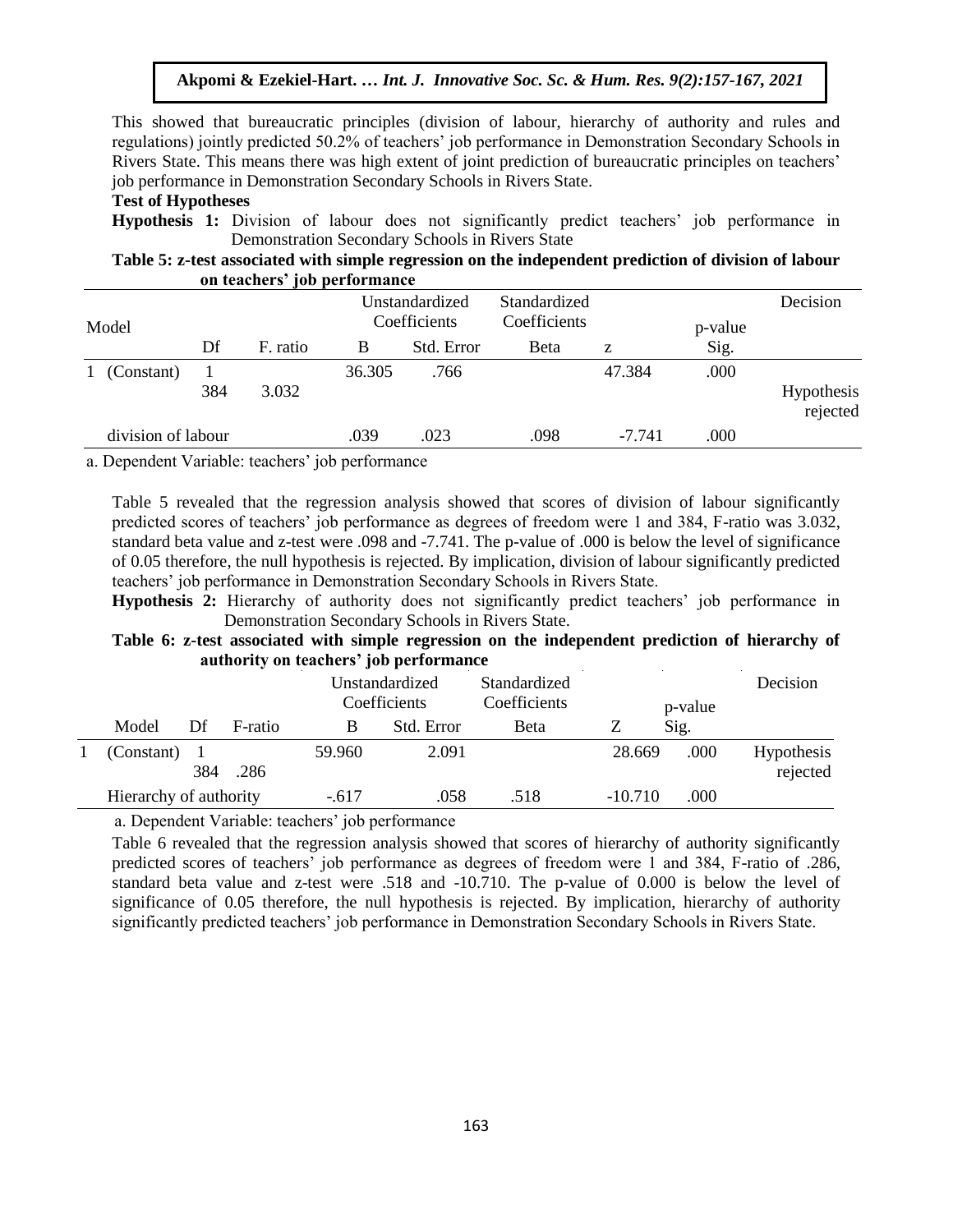This showed that bureaucratic principles (division of labour, hierarchy of authority and rules and regulations) jointly predicted 50.2% of teachers' job performance in Demonstration Secondary Schools in Rivers State. This means there was high extent of joint prediction of bureaucratic principles on teachers' job performance in Demonstration Secondary Schools in Rivers State.

#### **Test of Hypotheses**

Hypothesis 1: Division of labour does not significantly predict teachers' job performance in Demonstration Secondary Schools in Rivers State

## **Table 5: z-test associated with simple regression on the independent prediction of division of labour on teachers' job performance**

| Model |                    |     |          |        | Unstandardized<br>Coefficients | Standardized<br>Coefficients |          | p-value | Decision               |
|-------|--------------------|-----|----------|--------|--------------------------------|------------------------------|----------|---------|------------------------|
|       |                    | Df  | F. ratio | B      | Std. Error                     | Beta                         | z        | Sig.    |                        |
|       | (Constant)         | 384 | 3.032    | 36.305 | .766                           |                              | 47.384   | .000    | Hypothesis<br>rejected |
|       | division of labour |     |          | .039   | .023                           | .098                         | $-7.741$ | .000    |                        |

a. Dependent Variable: teachers' job performance

Table 5 revealed that the regression analysis showed that scores of division of labour significantly predicted scores of teachers' job performance as degrees of freedom were 1 and 384, F-ratio was 3.032, standard beta value and z-test were .098 and -7.741. The p-value of .000 is below the level of significance of 0.05 therefore, the null hypothesis is rejected. By implication, division of labour significantly predicted teachers' job performance in Demonstration Secondary Schools in Rivers State.

**Hypothesis 2:** Hierarchy of authority does not significantly predict teachers' job performance in Demonstration Secondary Schools in Rivers State.

## **Table 6: z-test associated with simple regression on the independent prediction of hierarchy of authority on teachers' job performance**

|                        |     |         |         | Unstandardized<br>Coefficients | Standardized<br>Coefficients |           | p-value | Decision                      |
|------------------------|-----|---------|---------|--------------------------------|------------------------------|-----------|---------|-------------------------------|
| Model                  | Df  | F-ratio |         | Std. Error                     | <b>B</b> eta                 |           | Sig.    |                               |
| (Constant)             | 384 | .286    | 59.960  | 2.091                          |                              | 28.669    | .000    | <b>Hypothesis</b><br>rejected |
| Hierarchy of authority |     |         | $-.617$ | .058                           | .518                         | $-10.710$ | .000    |                               |

a. Dependent Variable: teachers' job performance

Table 6 revealed that the regression analysis showed that scores of hierarchy of authority significantly predicted scores of teachers' job performance as degrees of freedom were 1 and 384, F-ratio of .286, standard beta value and z-test were .518 and -10.710. The p-value of 0.000 is below the level of significance of 0.05 therefore, the null hypothesis is rejected. By implication, hierarchy of authority significantly predicted teachers' job performance in Demonstration Secondary Schools in Rivers State.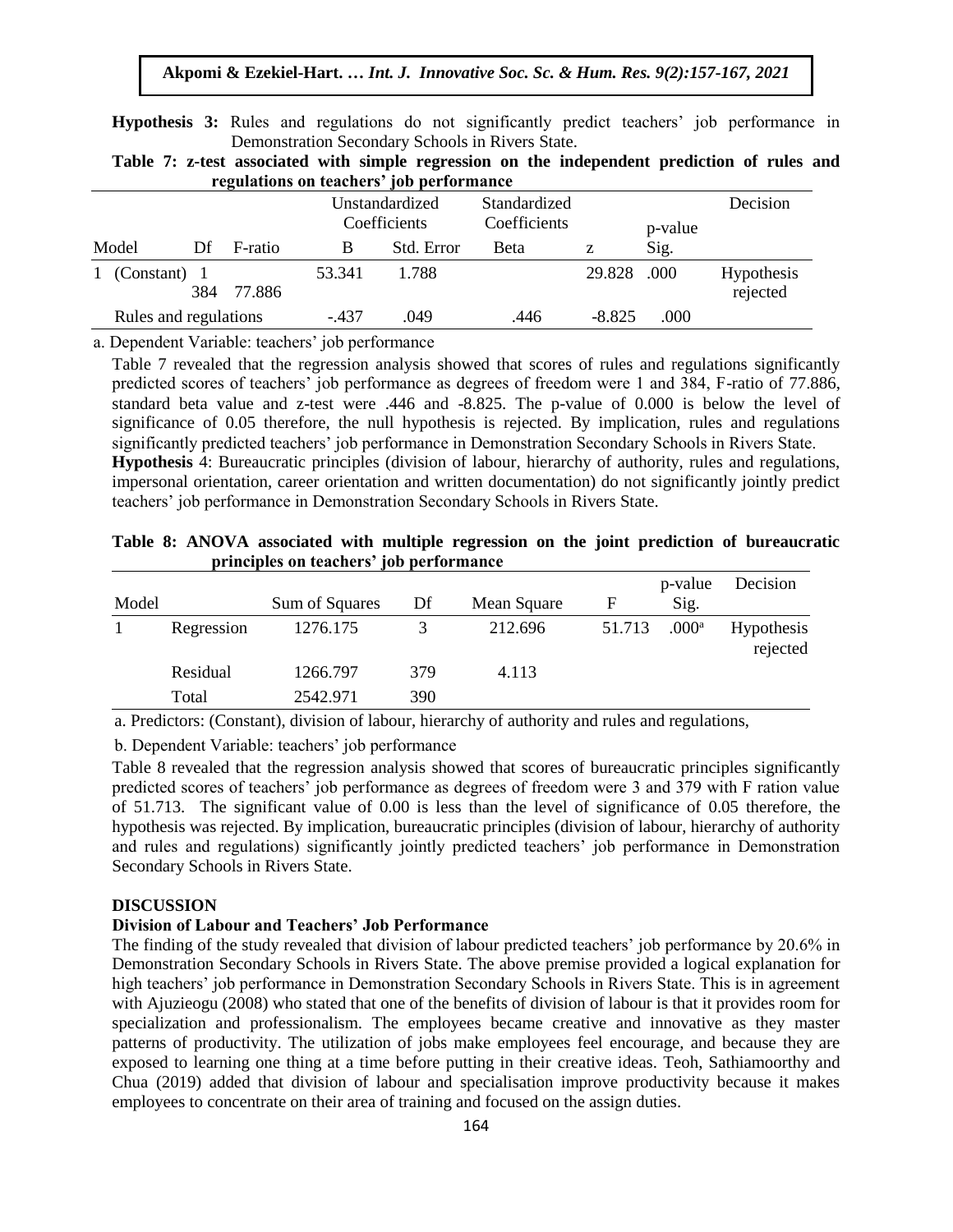**Hypothesis 3:** Rules and regulations do not significantly predict teachers' job performance in Demonstration Secondary Schools in Rivers State.

|  |                                          |  |  | Table 7: z-test associated with simple regression on the independent prediction of rules and |  |  |
|--|------------------------------------------|--|--|----------------------------------------------------------------------------------------------|--|--|
|  | regulations on teachers' job performance |  |  |                                                                                              |  |  |

|                       |     |         | Unstandardized<br>Coefficients | Standardized<br>Coefficients |      | p-value  | Decision |                        |
|-----------------------|-----|---------|--------------------------------|------------------------------|------|----------|----------|------------------------|
| Model                 | Df  | F-ratio | B                              | Std. Error                   | Beta | z        | Sig.     |                        |
| (Constant) 1<br>1     | 384 | 77.886  | 53.341                         | 1.788                        |      | 29.828   | .000     | Hypothesis<br>rejected |
| Rules and regulations |     |         | $-437$                         | .049                         | .446 | $-8.825$ | .000     |                        |

a. Dependent Variable: teachers' job performance

Table 7 revealed that the regression analysis showed that scores of rules and regulations significantly  $\frac{1}{2}$ predicted scores of teachers' job performance as degrees of freedom were 1 and 384, F-ratio of 77.886, standard beta value and z-test were .446 and -8.825. The p-value of 0.000 is below the level of significance of 0.05 therefore, the null hypothesis is rejected. By implication, rules and regulations significantly predicted teachers' job performance in Demonstration Secondary Schools in Rivers State. significantly predicted teachers job performance in Demonstration Secondary Schools in Rivers State.<br>**Hypothesis** 4: Bureaucratic principles (division of labour, hierarchy of authority, rules and regulations, impersonal orientation, career orientation and written documentation) do not significantly jointly predict teachers' job performance in Demonstration Secondary Schools in Rivers State.

|  |                                         |  |  |  |  | Table 8: ANOVA associated with multiple regression on the joint prediction of bureaucratic |
|--|-----------------------------------------|--|--|--|--|--------------------------------------------------------------------------------------------|
|  |                                         |  |  |  |  |                                                                                            |
|  | principles on teachers' job performance |  |  |  |  |                                                                                            |

| Model |            | Sum of Squares | Df  | Mean Square | F      | p-value<br>Sig.   | Decision                      |
|-------|------------|----------------|-----|-------------|--------|-------------------|-------------------------------|
|       | Regression | 1276.175       |     | 212.696     | 51.713 | .000 <sup>a</sup> | <b>Hypothesis</b><br>rejected |
|       | Residual   | 1266.797       | 379 | 4.113       |        |                   |                               |
|       | Total      | 2542.971       | 390 |             |        |                   |                               |

a. Predictors: (Constant), division of labour, hierarchy of authority and rules and regulations,

b. Dependent Variable: teachers' job performance

Table 8 revealed that the regression analysis showed that scores of bureaucratic principles significantly predicted scores of teachers' job performance as degrees of freedom were 3 and 379 with F ration value of 51.713. The significant value of 0.00 is less than the level of significance of 0.05 therefore, the hypothesis was rejected. By implication, bureaucratic principles (division of labour, hierarchy of authority and rules and regulations) significantly jointly predicted teachers' job performance in Demonstration Secondary Schools in Rivers State.

#### **DISCUSSION**

#### **Division of Labour and Teachers' Job Performance**

The finding of the study revealed that division of labour predicted teachers' job performance by 20.6% in Demonstration Secondary Schools in Rivers State. The above premise provided a logical explanation for high teachers' job performance in Demonstration Secondary Schools in Rivers State. This is in agreement with Ajuzieogu (2008) who stated that one of the benefits of division of labour is that it provides room for specialization and professionalism. The employees became creative and innovative as they master patterns of productivity. The utilization of jobs make employees feel encourage, and because they are exposed to learning one thing at a time before putting in their creative ideas. Teoh, Sathiamoorthy and Chua (2019) added that division of labour and specialisation improve productivity because it makes employees to concentrate on their area of training and focused on the assign duties.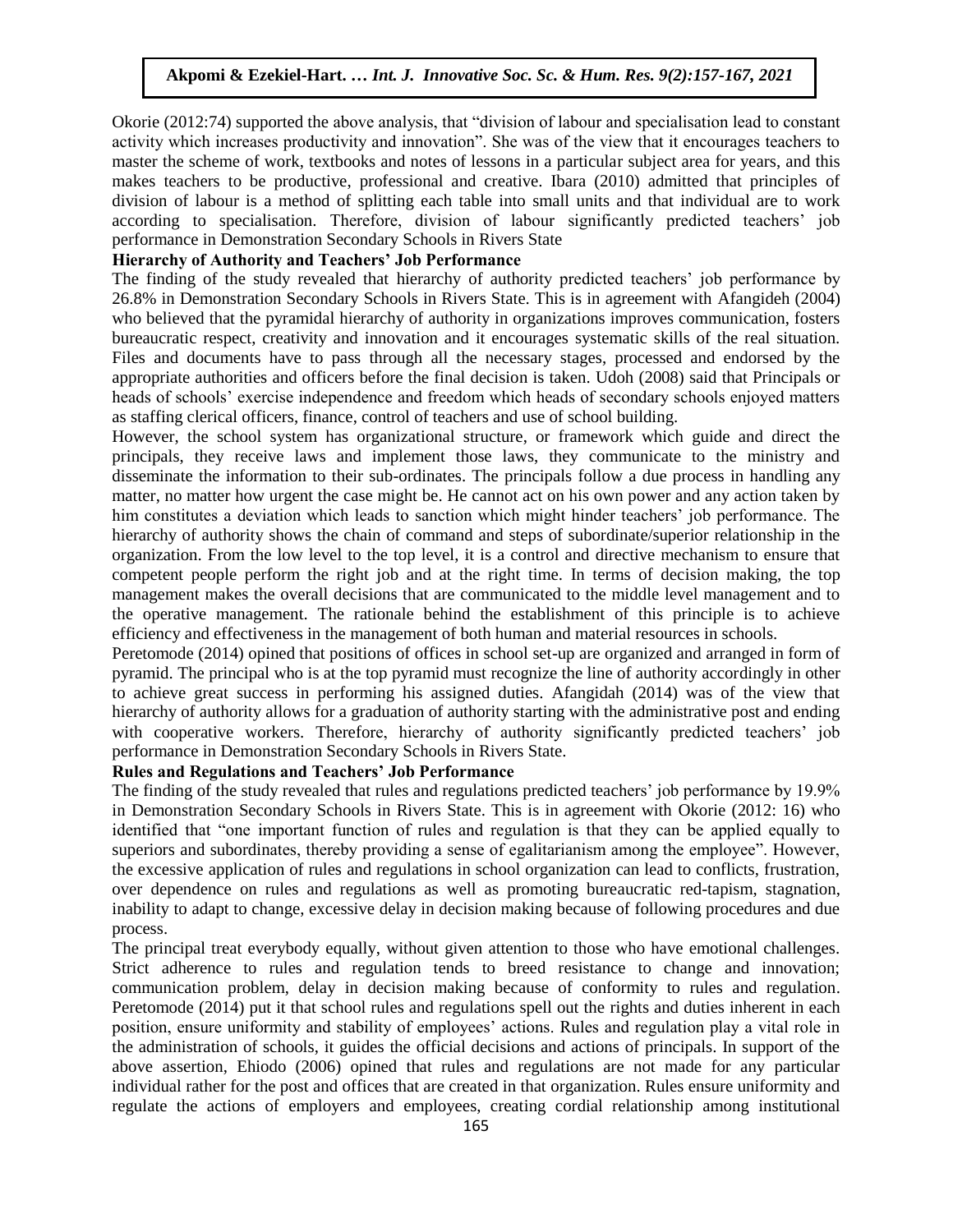Okorie (2012:74) supported the above analysis, that "division of labour and specialisation lead to constant activity which increases productivity and innovation". She was of the view that it encourages teachers to activity which increases productivity and innovation". She was of the view that it encourages teachers to master the scheme of work, textbooks and notes of lessons in a particular subject area for years, and this makes teachers to be productive, professional and creative. Ibara (2010) admitted that principles of division of labour is a method of splitting each table into small units and that individual are to work according to specialisation. Therefore, division of labour significantly predicted teachers' job performance in Demonstration Secondary Schools in Rivers State

## **Hierarchy of Authority and Teachers' Job Performance**

The finding of the study revealed that hierarchy of authority predicted teachers' job performance by 26.8% in Demonstration Secondary Schools in Rivers State. This is in agreement with Afangideh (2004) who believed that the pyramidal hierarchy of authority in organizations improves communication, fosters bureaucratic respect, creativity and innovation and it encourages systematic skills of the real situation. Files and documents have to pass through all the necessary stages, processed and endorsed by the appropriate authorities and officers before the final decision is taken. Udoh (2008) said that Principals or heads of schools' exercise independence and freedom which heads of secondary schools enjoyed matters as staffing clerical officers, finance, control of teachers and use of school building.

However, the school system has organizational structure, or framework which guide and direct the principals, they receive laws and implement those laws, they communicate to the ministry and disseminate the information to their sub-ordinates. The principals follow a due process in handling any matter, no matter how urgent the case might be. He cannot act on his own power and any action taken by him constitutes a deviation which leads to sanction which might hinder teachers' job performance. The hierarchy of authority shows the chain of command and steps of subordinate/superior relationship in the organization. From the low level to the top level, it is a control and directive mechanism to ensure that competent people perform the right job and at the right time. In terms of decision making, the top management makes the overall decisions that are communicated to the middle level management and to the operative management. The rationale behind the establishment of this principle is to achieve efficiency and effectiveness in the management of both human and material resources in schools.

Peretomode (2014) opined that positions of offices in school set-up are organized and arranged in form of pyramid. The principal who is at the top pyramid must recognize the line of authority accordingly in other to achieve great success in performing his assigned duties. Afangidah (2014) was of the view that hierarchy of authority allows for a graduation of authority starting with the administrative post and ending with cooperative workers. Therefore, hierarchy of authority significantly predicted teachers' job performance in Demonstration Secondary Schools in Rivers State.

#### **Rules and Regulations and Teachers' Job Performance**

The finding of the study revealed that rules and regulations predicted teachers' job performance by 19.9% in Demonstration Secondary Schools in Rivers State. This is in agreement with Okorie (2012: 16) who identified that "one important function of rules and regulation is that they can be applied equally to superiors and subordinates, thereby providing a sense of egalitarianism among the employee". However, the excessive application of rules and regulations in school organization can lead to conflicts, frustration, over dependence on rules and regulations as well as promoting bureaucratic red-tapism, stagnation, inability to adapt to change, excessive delay in decision making because of following procedures and due process.

The principal treat everybody equally, without given attention to those who have emotional challenges. Strict adherence to rules and regulation tends to breed resistance to change and innovation; communication problem, delay in decision making because of conformity to rules and regulation. Peretomode (2014) put it that school rules and regulations spell out the rights and duties inherent in each position, ensure uniformity and stability of employees' actions. Rules and regulation play a vital role in the administration of schools, it guides the official decisions and actions of principals. In support of the above assertion, Ehiodo (2006) opined that rules and regulations are not made for any particular individual rather for the post and offices that are created in that organization. Rules ensure uniformity and regulate the actions of employers and employees, creating cordial relationship among institutional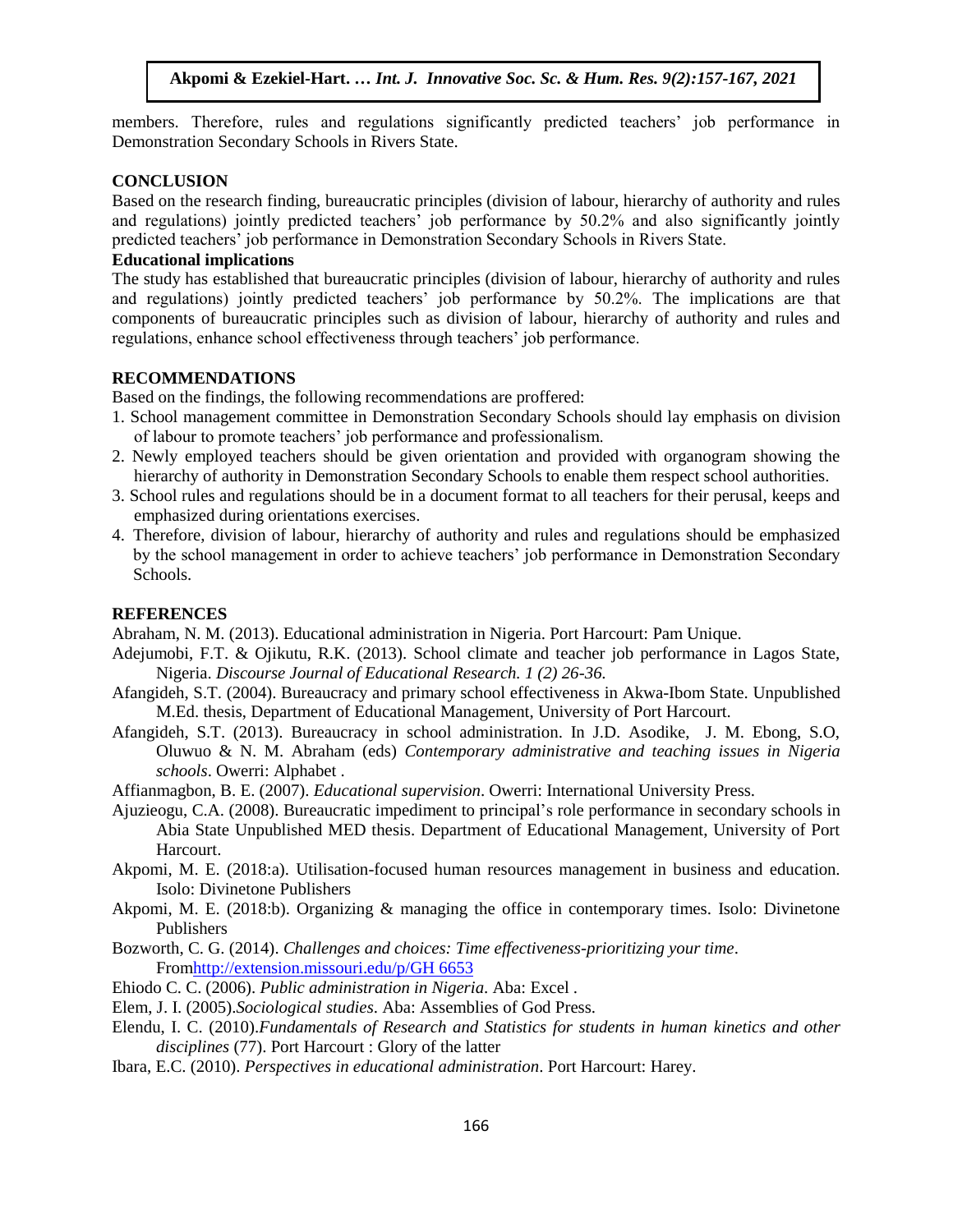members. Therefore, rules and regulations significantly predicted teachers' job performance in Demonstration Secondary Schools in Rivers State.

#### **CONCLUSION**

Based on the research finding, bureaucratic principles (division of labour, hierarchy of authority and rules and regulations) jointly predicted teachers' job performance by 50.2% and also significantly jointly predicted teachers' job performance in Demonstration Secondary Schools in Rivers State.

#### **Educational implications**

The study has established that bureaucratic principles (division of labour, hierarchy of authority and rules and regulations) jointly predicted teachers' job performance by 50.2%. The implications are that components of bureaucratic principles such as division of labour, hierarchy of authority and rules and regulations, enhance school effectiveness through teachers' job performance.

#### RECOMMENDATIONS

Based on the findings, the following recommendations are proffered:

- 1. School management committee in Demonstration Secondary Schools should lay emphasis on division of labour to promote teachers' job performance and professionalism.
- 2. Newly employed teachers should be given orientation and provided with organogram showing the hierarchy of authority in Demonstration Secondary Schools to enable them respect school authorities.
- 3. School rules and regulations should be in a document format to all teachers for their perusal, keeps and emphasized during orientations exercises.
- 4. Therefore, division of labour, hierarchy of authority and rules and regulations should be emphasized by the school management in order to achieve teachers' job performance in Demonstration Secondary Schools.

#### **REFERENCES**

Abraham, N. M. (2013). Educational administration in Nigeria. Port Harcourt: Pam Unique.

- Adejumobi, F.T. & Ojikutu, R.K. (2013). School climate and teacher job performance in Lagos State, Nigeria. *Discourse Journal of Educational Research. 1 (2) 26-36.*
- Afangideh, S.T. (2004). Bureaucracy and primary school effectiveness in Akwa-Ibom State. Unpublished M.Ed. thesis, Department of Educational Management, University of Port Harcourt.
- Afangideh, S.T. (2013). Bureaucracy in school administration. In J.D. Asodike, J. M. Ebong, S.O, Oluwuo & N. M. Abraham (eds) *Contemporary administrative and teaching issues in Nigeria schools*. Owerri: Alphabet .
- Affianmagbon, B. E. (2007). *Educational supervision*. Owerri: International University Press.
- Ajuzieogu, C.A. (2008). Bureaucratic impediment to principal's role performance in secondary schools in Abia State Unpublished MED thesis. Department of Educational Management, University of Port Harcourt.
- Akpomi, M. E. (2018:a). Utilisation-focused human resources management in business and education. Isolo: Divinetone Publishers
- Akpomi, M. E. (2018:b). Organizing & managing the office in contemporary times. Isolo: Divinetone Publishers
- Bozworth, C. G. (2014). *Challenges and choices: Time effectiveness-prioritizing your time*. Fro[mhttp://extension.missouri.edu/p/GH 6653](http://extension.missouri.edu/p/GH%206653)
- Ehiodo C. C. (2006). *Public administration in Nigeria*. Aba: Excel .
- Elem, J. I. (2005).*Sociological studies*. Aba: Assemblies of God Press.
- Elendu, I. C. (2010).*Fundamentals of Research and Statistics for students in human kinetics and other disciplines* (77). Port Harcourt : Glory of the latter
- Ibara, E.C. (2010). *Perspectives in educational administration*. Port Harcourt: Harey.